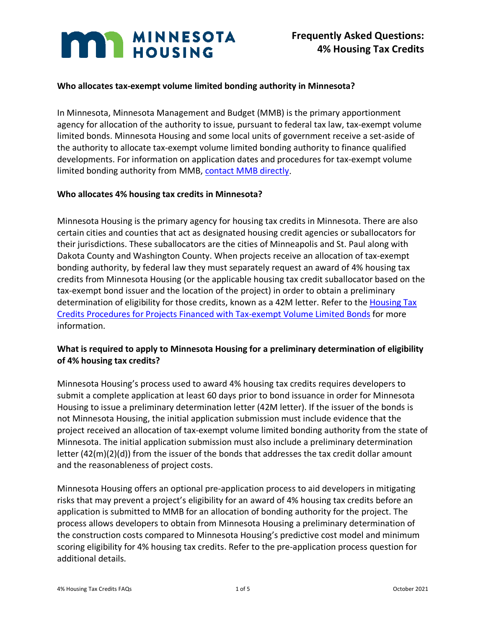# **MAN MINNESOTA**

## **Who allocates tax-exempt volume limited bonding authority in Minnesota?**

In Minnesota, Minnesota Management and Budget (MMB) is the primary apportionment agency for allocation of the authority to issue, pursuant to federal tax law, tax-exempt volume limited bonds. Minnesota Housing and some local units of government receive a set-aside of the authority to allocate tax-exempt volume limited bonding authority to finance qualified developments. For information on application dates and procedures for tax-exempt volume limited bonding authority from MMB, [contact MMB directly.](https://mn.gov/mmb/debt-management/bonding/federal-bond-program)

#### **Who allocates 4% housing tax credits in Minnesota?**

Minnesota Housing is the primary agency for housing tax credits in Minnesota. There are also certain cities and counties that act as designated housing credit agencies or suballocators for their jurisdictions. These suballocators are the cities of Minneapolis and St. Paul along with Dakota County and Washington County. When projects receive an allocation of tax-exempt bonding authority, by federal law they must separately request an award of 4% housing tax credits from Minnesota Housing (or the applicable housing tax credit suballocator based on the tax-exempt bond issuer and the location of the project) in order to obtain a preliminary determination of eligibility for those credits, known as a 42M letter. Refer to the [Housing Tax](https://www.mnhousing.gov/get/MHFA_006163)  [Credits Procedures for Projects Financed with Tax-exempt Volume Limited Bonds](https://www.mnhousing.gov/get/MHFA_006163) for more information.

## **What is required to apply to Minnesota Housing for a preliminary determination of eligibility of 4% housing tax credits?**

Minnesota Housing's process used to award 4% housing tax credits requires developers to submit a complete application at least 60 days prior to bond issuance in order for Minnesota Housing to issue a preliminary determination letter (42M letter). If the issuer of the bonds is not Minnesota Housing, the initial application submission must include evidence that the project received an allocation of tax-exempt volume limited bonding authority from the state of Minnesota. The initial application submission must also include a preliminary determination letter (42(m)(2)(d)) from the issuer of the bonds that addresses the tax credit dollar amount and the reasonableness of project costs.

Minnesota Housing offers an optional pre-application process to aid developers in mitigating risks that may prevent a project's eligibility for an award of 4% housing tax credits before an application is submitted to MMB for an allocation of bonding authority for the project. The process allows developers to obtain from Minnesota Housing a preliminary determination of the construction costs compared to Minnesota Housing's predictive cost model and minimum scoring eligibility for 4% housing tax credits. Refer to the pre-application process question for additional details.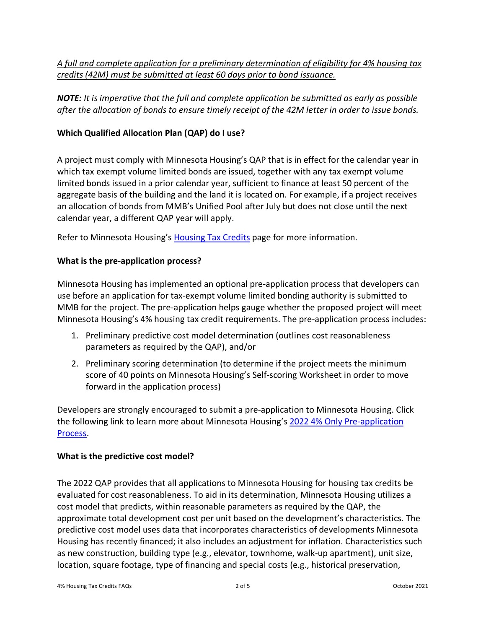*A full and complete application for a preliminary determination of eligibility for 4% housing tax credits (42M) must be submitted at least 60 days prior to bond issuance.* 

*NOTE: It is imperative that the full and complete application be submitted as early as possible after the allocation of bonds to ensure timely receipt of the 42M letter in order to issue bonds.*

# **Which Qualified Allocation Plan (QAP) do I use?**

A project must comply with Minnesota Housing's QAP that is in effect for the calendar year in which tax exempt volume limited bonds are issued, together with any tax exempt volume limited bonds issued in a prior calendar year, sufficient to finance at least 50 percent of the aggregate basis of the building and the land it is located on. For example, if a project receives an allocation of bonds from MMB's Unified Pool after July but does not close until the next calendar year, a different QAP year will apply.

Refer to Minnesota Housing's [Housing Tax Credits](https://www.mnhousing.gov/sites/multifamily/taxcredits) page for more information.

# **What is the pre-application process?**

Minnesota Housing has implemented an optional pre-application process that developers can use before an application for tax-exempt volume limited bonding authority is submitted to MMB for the project. The pre-application helps gauge whether the proposed project will meet Minnesota Housing's 4% housing tax credit requirements. The pre-application process includes:

- 1. Preliminary predictive cost model determination (outlines cost reasonableness parameters as required by the QAP), and/or
- 2. Preliminary scoring determination (to determine if the project meets the minimum score of 40 points on Minnesota Housing's Self-scoring Worksheet in order to move forward in the application process)

Developers are strongly encouraged to submit a pre-application to Minnesota Housing. Click the following link to learn more about Minnesota Housing's [2022 4% Only Pre-application](https://www.mnhousing.gov/get/MHFA_1042519)  [Process.](https://www.mnhousing.gov/get/MHFA_1042519)

## **What is the predictive cost model?**

The 2022 QAP provides that all applications to Minnesota Housing for housing tax credits be evaluated for cost reasonableness. To aid in its determination, Minnesota Housing utilizes a cost model that predicts, within reasonable parameters as required by the QAP, the approximate total development cost per unit based on the development's characteristics. The predictive cost model uses data that incorporates characteristics of developments Minnesota Housing has recently financed; it also includes an adjustment for inflation. Characteristics such as new construction, building type (e.g., elevator, townhome, walk-up apartment), unit size, location, square footage, type of financing and special costs (e.g., historical preservation,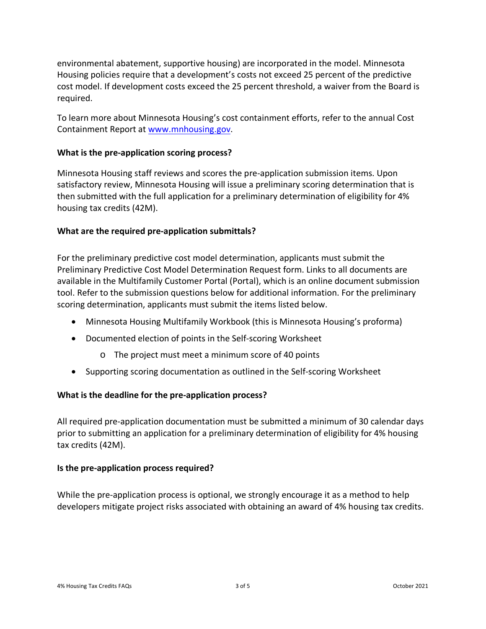environmental abatement, supportive housing) are incorporated in the model. Minnesota Housing policies require that a development's costs not exceed 25 percent of the predictive cost model. If development costs exceed the 25 percent threshold, a waiver from the Board is required.

To learn more about Minnesota Housing's cost containment efforts, refer to the annual Cost Containment Report at [www.mnhousing.gov.](https://www.mnhousing.gov/sites/np/np/reports)

## **What is the pre-application scoring process?**

Minnesota Housing staff reviews and scores the pre-application submission items. Upon satisfactory review, Minnesota Housing will issue a preliminary scoring determination that is then submitted with the full application for a preliminary determination of eligibility for 4% housing tax credits (42M).

## **What are the required pre-application submittals?**

For the preliminary predictive cost model determination, applicants must submit the Preliminary Predictive Cost Model Determination Request form. Links to all documents are available in the Multifamily Customer Portal (Portal), which is an online document submission tool. Refer to the submission questions below for additional information. For the preliminary scoring determination, applicants must submit the items listed below.

- Minnesota Housing Multifamily Workbook (this is Minnesota Housing's proforma)
- Documented election of points in the Self-scoring Worksheet
	- o The project must meet a minimum score of 40 points
- Supporting scoring documentation as outlined in the Self-scoring Worksheet

#### **What is the deadline for the pre-application process?**

All required pre-application documentation must be submitted a minimum of 30 calendar days prior to submitting an application for a preliminary determination of eligibility for 4% housing tax credits (42M).

#### **Is the pre-application process required?**

While the pre-application process is optional, we strongly encourage it as a method to help developers mitigate project risks associated with obtaining an award of 4% housing tax credits.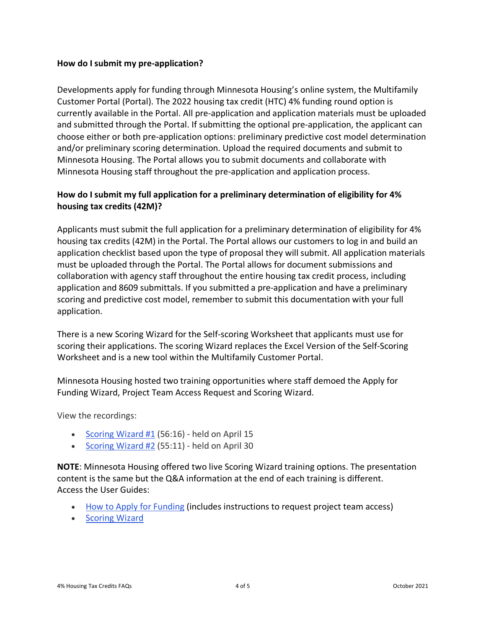#### **How do I submit my pre-application?**

Developments apply for funding through Minnesota Housing's online system, the Multifamily Customer Portal (Portal). The 2022 housing tax credit (HTC) 4% funding round option is currently available in the Portal. All pre-application and application materials must be uploaded and submitted through the Portal. If submitting the optional pre-application, the applicant can choose either or both pre-application options: preliminary predictive cost model determination and/or preliminary scoring determination. Upload the required documents and submit to Minnesota Housing. The Portal allows you to submit documents and collaborate with Minnesota Housing staff throughout the pre-application and application process.

# **How do I submit my full application for a preliminary determination of eligibility for 4% housing tax credits (42M)?**

Applicants must submit the full application for a preliminary determination of eligibility for 4% housing tax credits (42M) in the Portal. The Portal allows our customers to log in and build an application checklist based upon the type of proposal they will submit. All application materials must be uploaded through the Portal. The Portal allows for document submissions and collaboration with agency staff throughout the entire housing tax credit process, including application and 8609 submittals. If you submitted a pre-application and have a preliminary scoring and predictive cost model, remember to submit this documentation with your full application.

There is a new Scoring Wizard for the Self-scoring Worksheet that applicants must use for scoring their applications. The scoring Wizard replaces the Excel Version of the Self-Scoring Worksheet and is a new tool within the Multifamily Customer Portal.

Minnesota Housing hosted two training opportunities where staff demoed the Apply for Funding Wizard, Project Team Access Request and Scoring Wizard.

View the recordings:

- Scoring Wizard  $#1$  (56:16) held on April 15
- [Scoring Wizard #2](https://youtu.be/Eu2TYzZBJMk) (55:11) held on April 30

**NOTE**: Minnesota Housing offered two live Scoring Wizard training options. The presentation content is the same but the Q&A information at the end of each training is different. Access the User Guides:

- [How to Apply for Funding](https://www.mnhousing.gov/get/MHFA_238297) (includes instructions to request project team access)
- [Scoring Wizard](https://www.mnhousing.gov/get/MHFA_251949)